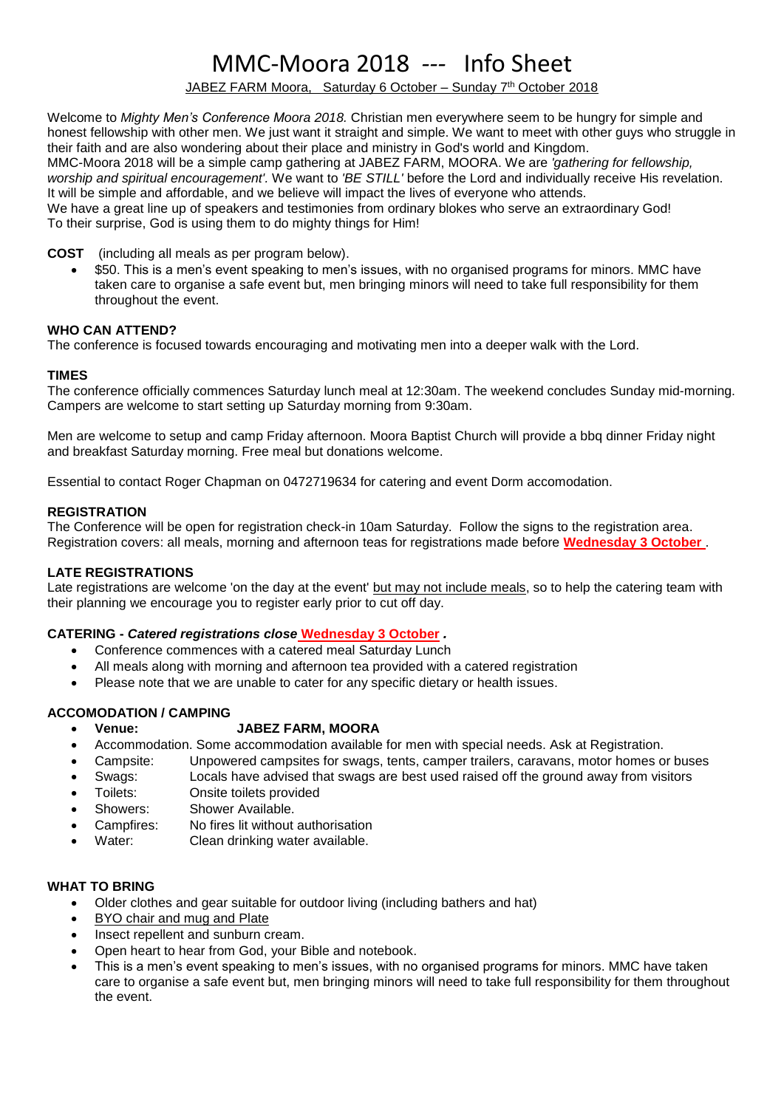# MMC-Moora 2018 *---* Info Sheet

JABEZ FARM Moora, Saturday 6 October – Sunday 7 th October 2018

Welcome to *Mighty Men's Conference Moora 2018.* Christian men everywhere seem to be hungry for simple and honest fellowship with other men. We just want it straight and simple. We want to meet with other guys who struggle in their faith and are also wondering about their place and ministry in God's world and Kingdom. MMC-Moora 2018 will be a simple camp gathering at JABEZ FARM, MOORA. We are *'gathering for fellowship, worship and spiritual encouragement'.* We want to *'BE STILL'* before the Lord and individually receive His revelation. It will be simple and affordable, and we believe will impact the lives of everyone who attends. We have a great line up of speakers and testimonies from ordinary blokes who serve an extraordinary God!

To their surprise, God is using them to do mighty things for Him!

**COST** (including all meals as per program below).

• \$50. This is a men's event speaking to men's issues, with no organised programs for minors. MMC have taken care to organise a safe event but, men bringing minors will need to take full responsibility for them throughout the event.

# **WHO CAN ATTEND?**

The conference is focused towards encouraging and motivating men into a deeper walk with the Lord.

## **TIMES**

The conference officially commences Saturday lunch meal at 12:30am. The weekend concludes Sunday mid-morning. Campers are welcome to start setting up Saturday morning from 9:30am.

Men are welcome to setup and camp Friday afternoon. Moora Baptist Church will provide a bbq dinner Friday night and breakfast Saturday morning. Free meal but donations welcome.

Essential to contact Roger Chapman on 0472719634 for catering and event Dorm accomodation.

# **REGISTRATION**

The Conference will be open for registration check-in 10am Saturday. Follow the signs to the registration area. Registration covers: all meals, morning and afternoon teas for registrations made before **Wednesday 3 October** .

## **LATE REGISTRATIONS**

Late registrations are welcome 'on the day at the event' but may not include meals, so to help the catering team with their planning we encourage you to register early prior to cut off day.

## **CATERING -** *Catered registrations close* **Wednesday 3 October** *.*

- Conference commences with a catered meal Saturday Lunch
- All meals along with morning and afternoon tea provided with a catered registration
- Please note that we are unable to cater for any specific dietary or health issues.

## **ACCOMODATION / CAMPING**

# • **Venue: JABEZ FARM, MOORA**

- Accommodation. Some accommodation available for men with special needs. Ask at Registration.
- Campsite: Unpowered campsites for swags, tents, camper trailers, caravans, motor homes or buses
- Swags: Locals have advised that swags are best used raised off the ground away from visitors • Toilets: Onsite toilets provided
- Showers: Shower Available.
- Campfires: No fires lit without authorisation
- Water: Clean drinking water available.

# **WHAT TO BRING**

- Older clothes and gear suitable for outdoor living (including bathers and hat)
- BYO chair and mug and Plate
- Insect repellent and sunburn cream.
- Open heart to hear from God, your Bible and notebook.
- This is a men's event speaking to men's issues, with no organised programs for minors. MMC have taken care to organise a safe event but, men bringing minors will need to take full responsibility for them throughout the event.